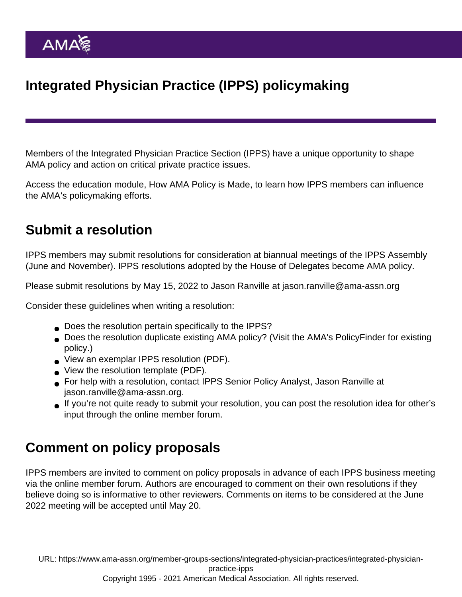## Integrated Physician Practice (IPPS) policymaking

Members of the Integrated Physician Practice Section (IPPS) have a unique opportunity to shape AMA policy and action on critical private practice issues.

Access the education module, [How AMA Policy is Made](https://edhub.ama-assn.org/interactive/18059906), to learn how IPPS members can influence the AMA's policymaking efforts.

## Submit a resolution

IPPS members may submit resolutions for consideration at biannual meetings of the IPPS Assembly (June and November). IPPS resolutions adopted by the House of Delegates become AMA policy.

Please submit resolutions by May 15, 2022 to Jason Ranville at [jason.ranville@ama-assn.org](mailto:jason.ranville@ama-assn.org)

Consider these guidelines when writing a resolution:

- Does the resolution pertain specifically to the IPPS?
- Does the resolution duplicate existing AMA policy? (Visit the AMA's [PolicyFinder](https://policysearch.ama-assn.org/policyfinder) for existing policy.)
- [View an exemplar IPPS resolution](https://www.ama-assn.org/system/files/ipps-exemplar-res-2-payment-models.pdf) (PDF).
- [View the resolution template](https://www.ama-assn.org/system/files/ipps-resolution-template.pdf) (PDF).
- For help with a resolution, contact IPPS Senior Policy Analyst, Jason Ranville at [jason.ranville@ama-assn.org.](mailto:jason.ranville@ama-assn.org)
- If you're not quite ready to submit your resolution, you can post the resolution idea for other's input through the [online member forum.](https://www.ama-assn.org/forums/sections/integrated-physician-practice-section)

## Comment on policy proposals

IPPS members are invited to comment on policy proposals in advance of each IPPS business meeting via the [online member forum](https://www.ama-assn.org/forums/sections/integrated-physician-practice-section). Authors are encouraged to comment on their own resolutions if they believe doing so is informative to other reviewers. Comments on items to be considered at the June 2022 meeting will be accepted until May 20.

URL: [https://www.ama-assn.org/member-groups-sections/integrated-physician-practices/integrated-physician](https://www.ama-assn.org/member-groups-sections/integrated-physician-practices/integrated-physician-practice-ipps)[practice-ipps](https://www.ama-assn.org/member-groups-sections/integrated-physician-practices/integrated-physician-practice-ipps)